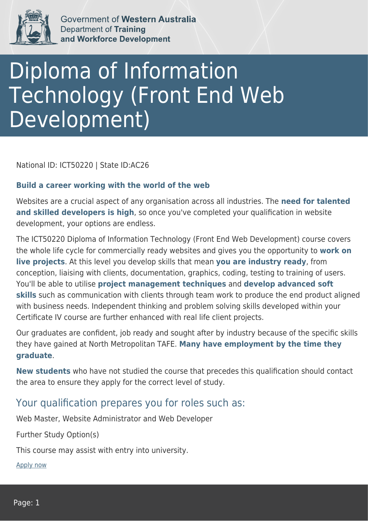

Government of Western Australia **Department of Training** and Workforce Development

## Diploma of Information Technology (Front End Web Development)

National ID: ICT50220 | State ID:AC26

## **Build a career working with the world of the web**

Websites are a crucial aspect of any organisation across all industries. The **need for talented and skilled developers is high**, so once you've completed your qualification in website development, your options are endless.

The ICT50220 Diploma of Information Technology (Front End Web Development) course covers the whole life cycle for commercially ready websites and gives you the opportunity to **work on live projects**. At this level you develop skills that mean **you are industry ready**, from conception, liaising with clients, documentation, graphics, coding, testing to training of users. You'll be able to utilise **project management techniques** and **develop advanced soft skills** such as communication with clients through team work to produce the end product aligned with business needs. Independent thinking and problem solving skills developed within your Certificate IV course are further enhanced with real life client projects.

Our graduates are confident, job ready and sought after by industry because of the specific skills they have gained at North Metropolitan TAFE. **Many have employment by the time they graduate**.

**New students** who have not studied the course that precedes this qualification should contact the area to ensure they apply for the correct level of study.

## Your qualification prepares you for roles such as:

Web Master, Website Administrator and Web Developer

Further Study Option(s)

This course may assist with entry into university.

[Apply now](https://tasonline.tafe.wa.edu.au/Default.aspx)